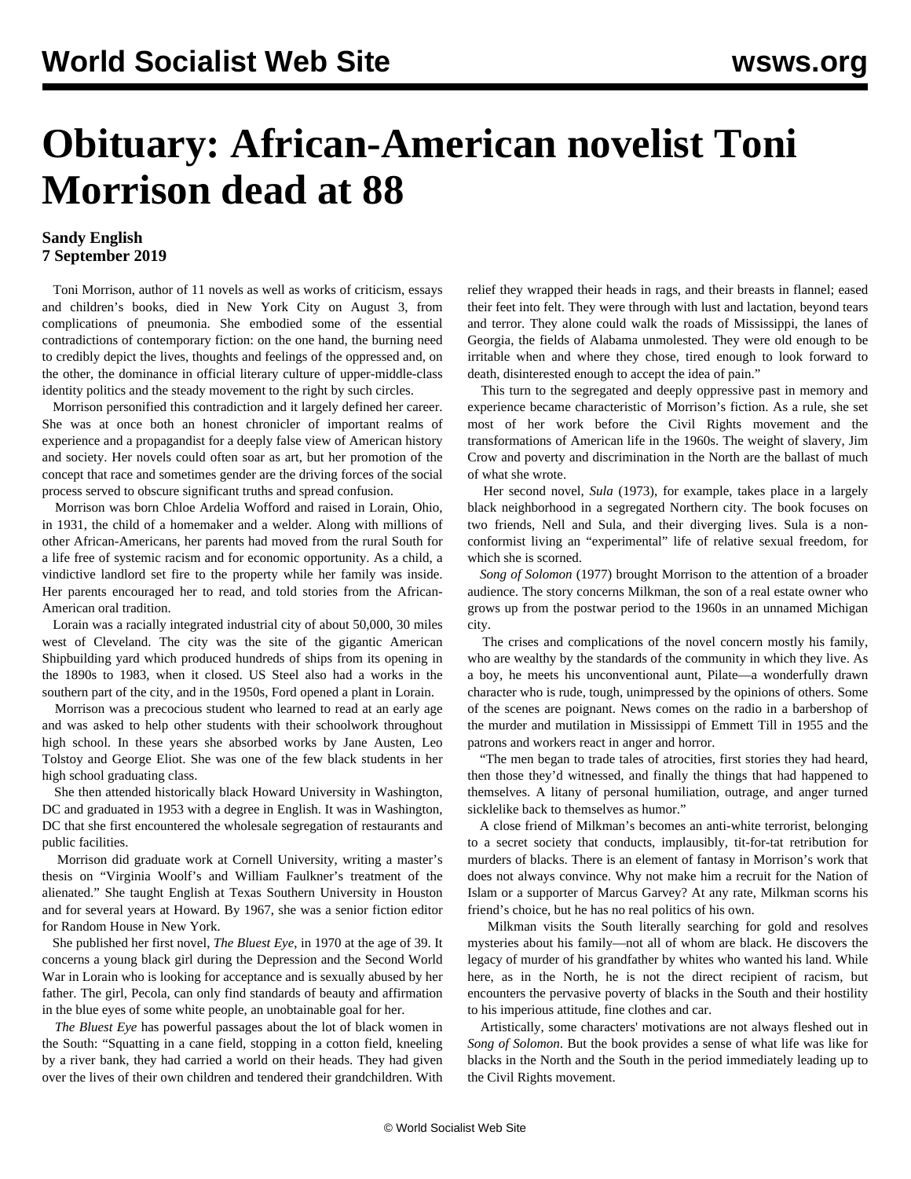## **Obituary: African-American novelist Toni Morrison dead at 88**

## **Sandy English 7 September 2019**

 Toni Morrison, author of 11 novels as well as works of criticism, essays and children's books, died in New York City on August 3, from complications of pneumonia. She embodied some of the essential contradictions of contemporary fiction: on the one hand, the burning need to credibly depict the lives, thoughts and feelings of the oppressed and, on the other, the dominance in official literary culture of upper-middle-class identity politics and the steady movement to the right by such circles.

 Morrison personified this contradiction and it largely defined her career. She was at once both an honest chronicler of important realms of experience and a propagandist for a deeply false view of American history and society. Her novels could often soar as art, but her promotion of the concept that race and sometimes gender are the driving forces of the social process served to obscure significant truths and spread confusion.

 Morrison was born Chloe Ardelia Wofford and raised in Lorain, Ohio, in 1931, the child of a homemaker and a welder. Along with millions of other African-Americans, her parents had moved from the rural South for a life free of systemic racism and for economic opportunity. As a child, a vindictive landlord set fire to the property while her family was inside. Her parents encouraged her to read, and told stories from the African-American oral tradition.

 Lorain was a racially integrated industrial city of about 50,000, 30 miles west of Cleveland. The city was the site of the gigantic American Shipbuilding yard which produced hundreds of ships from its opening in the 1890s to 1983, when it closed. US Steel also had a works in the southern part of the city, and in the 1950s, Ford opened a plant in Lorain.

 Morrison was a precocious student who learned to read at an early age and was asked to help other students with their schoolwork throughout high school. In these years she absorbed works by Jane Austen, Leo Tolstoy and George Eliot. She was one of the few black students in her high school graduating class.

 She then attended historically black Howard University in Washington, DC and graduated in 1953 with a degree in English. It was in Washington, DC that she first encountered the wholesale segregation of restaurants and public facilities.

 Morrison did graduate work at Cornell University, writing a master's thesis on "Virginia Woolf's and William Faulkner's treatment of the alienated." She taught English at Texas Southern University in Houston and for several years at Howard. By 1967, she was a senior fiction editor for Random House in New York.

 She published her first novel, *The Bluest Eye*, in 1970 at the age of 39. It concerns a young black girl during the Depression and the Second World War in Lorain who is looking for acceptance and is sexually abused by her father. The girl, Pecola, can only find standards of beauty and affirmation in the blue eyes of some white people, an unobtainable goal for her.

 *The Bluest Eye* has powerful passages about the lot of black women in the South: "Squatting in a cane field, stopping in a cotton field, kneeling by a river bank, they had carried a world on their heads. They had given over the lives of their own children and tendered their grandchildren. With

relief they wrapped their heads in rags, and their breasts in flannel; eased their feet into felt. They were through with lust and lactation, beyond tears and terror. They alone could walk the roads of Mississippi, the lanes of Georgia, the fields of Alabama unmolested. They were old enough to be irritable when and where they chose, tired enough to look forward to death, disinterested enough to accept the idea of pain."

 This turn to the segregated and deeply oppressive past in memory and experience became characteristic of Morrison's fiction. As a rule, she set most of her work before the Civil Rights movement and the transformations of American life in the 1960s. The weight of slavery, Jim Crow and poverty and discrimination in the North are the ballast of much of what she wrote.

 Her second novel, *Sula* (1973), for example, takes place in a largely black neighborhood in a segregated Northern city. The book focuses on two friends, Nell and Sula, and their diverging lives. Sula is a nonconformist living an "experimental" life of relative sexual freedom, for which she is scorned.

 *Song of Solomon* (1977) brought Morrison to the attention of a broader audience. The story concerns Milkman, the son of a real estate owner who grows up from the postwar period to the 1960s in an unnamed Michigan city.

 The crises and complications of the novel concern mostly his family, who are wealthy by the standards of the community in which they live. As a boy, he meets his unconventional aunt, Pilate—a wonderfully drawn character who is rude, tough, unimpressed by the opinions of others. Some of the scenes are poignant. News comes on the radio in a barbershop of the murder and mutilation in Mississippi of Emmett Till in 1955 and the patrons and workers react in anger and horror.

 "The men began to trade tales of atrocities, first stories they had heard, then those they'd witnessed, and finally the things that had happened to themselves. A litany of personal humiliation, outrage, and anger turned sicklelike back to themselves as humor."

 A close friend of Milkman's becomes an anti-white terrorist, belonging to a secret society that conducts, implausibly, tit-for-tat retribution for murders of blacks. There is an element of fantasy in Morrison's work that does not always convince. Why not make him a recruit for the Nation of Islam or a supporter of Marcus Garvey? At any rate, Milkman scorns his friend's choice, but he has no real politics of his own.

 Milkman visits the South literally searching for gold and resolves mysteries about his family—not all of whom are black. He discovers the legacy of murder of his grandfather by whites who wanted his land. While here, as in the North, he is not the direct recipient of racism, but encounters the pervasive poverty of blacks in the South and their hostility to his imperious attitude, fine clothes and car.

 Artistically, some characters' motivations are not always fleshed out in *Song of Solomon*. But the book provides a sense of what life was like for blacks in the North and the South in the period immediately leading up to the Civil Rights movement.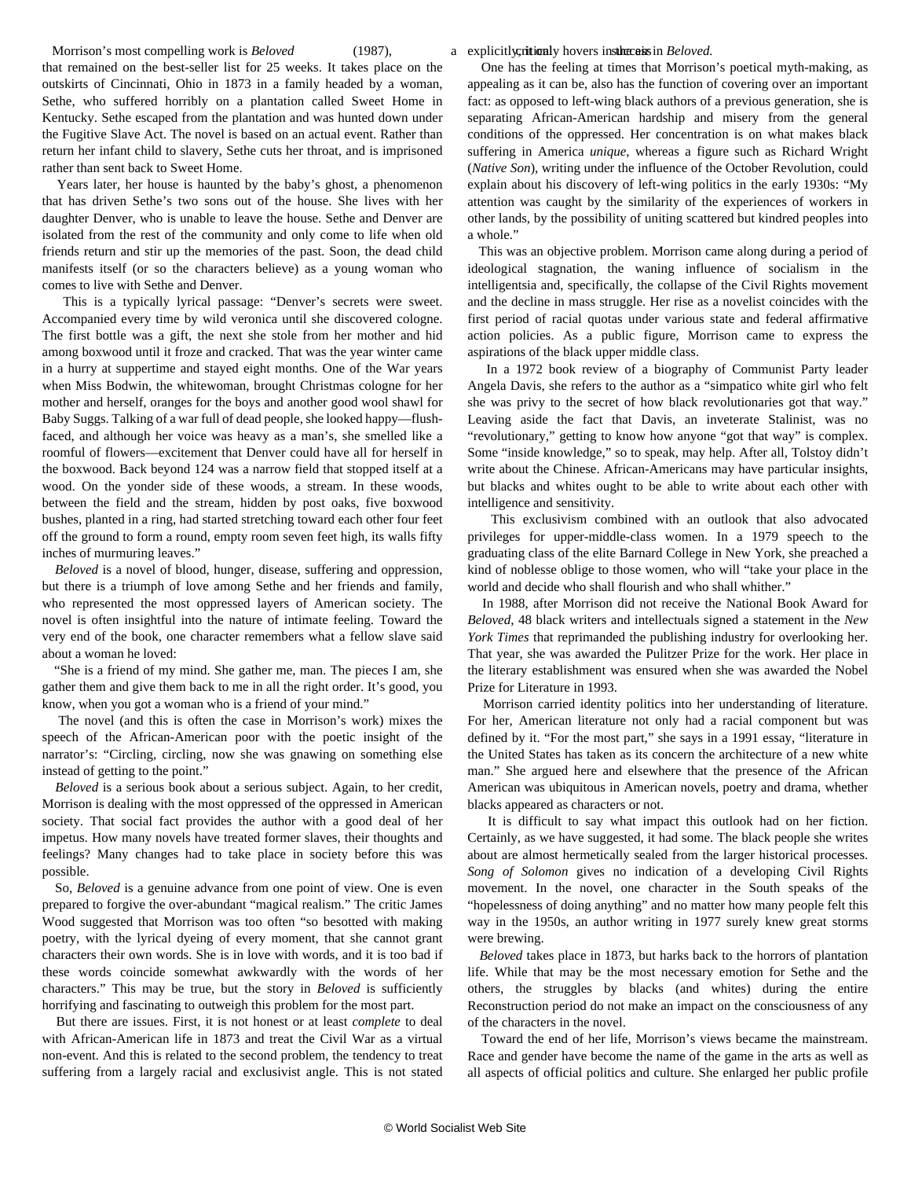a explicitly, ritionly hovers in sthe case in *Beloved*.

Morrison's most compelling work is *Beloved* (1987), that remained on the best-seller list for 25 weeks. It takes place on the outskirts of Cincinnati, Ohio in 1873 in a family headed by a woman, Sethe, who suffered horribly on a plantation called Sweet Home in Kentucky. Sethe escaped from the plantation and was hunted down under the Fugitive Slave Act. The novel is based on an actual event. Rather than return her infant child to slavery, Sethe cuts her throat, and is imprisoned rather than sent back to Sweet Home.

 Years later, her house is haunted by the baby's ghost, a phenomenon that has driven Sethe's two sons out of the house. She lives with her daughter Denver, who is unable to leave the house. Sethe and Denver are isolated from the rest of the community and only come to life when old friends return and stir up the memories of the past. Soon, the dead child manifests itself (or so the characters believe) as a young woman who comes to live with Sethe and Denver.

 This is a typically lyrical passage: "Denver's secrets were sweet. Accompanied every time by wild veronica until she discovered cologne. The first bottle was a gift, the next she stole from her mother and hid among boxwood until it froze and cracked. That was the year winter came in a hurry at suppertime and stayed eight months. One of the War years when Miss Bodwin, the whitewoman, brought Christmas cologne for her mother and herself, oranges for the boys and another good wool shawl for Baby Suggs. Talking of a war full of dead people, she looked happy—flushfaced, and although her voice was heavy as a man's, she smelled like a roomful of flowers—excitement that Denver could have all for herself in the boxwood. Back beyond 124 was a narrow field that stopped itself at a wood. On the yonder side of these woods, a stream. In these woods, between the field and the stream, hidden by post oaks, five boxwood bushes, planted in a ring, had started stretching toward each other four feet off the ground to form a round, empty room seven feet high, its walls fifty inches of murmuring leaves."

 *Beloved* is a novel of blood, hunger, disease, suffering and oppression, but there is a triumph of love among Sethe and her friends and family, who represented the most oppressed layers of American society. The novel is often insightful into the nature of intimate feeling. Toward the very end of the book, one character remembers what a fellow slave said about a woman he loved:

 "She is a friend of my mind. She gather me, man. The pieces I am, she gather them and give them back to me in all the right order. It's good, you know, when you got a woman who is a friend of your mind."

 The novel (and this is often the case in Morrison's work) mixes the speech of the African-American poor with the poetic insight of the narrator's: "Circling, circling, now she was gnawing on something else instead of getting to the point."

 *Beloved* is a serious book about a serious subject. Again, to her credit, Morrison is dealing with the most oppressed of the oppressed in American society. That social fact provides the author with a good deal of her impetus. How many novels have treated former slaves, their thoughts and feelings? Many changes had to take place in society before this was possible.

 So, *Beloved* is a genuine advance from one point of view. One is even prepared to forgive the over-abundant "magical realism." The critic James Wood suggested that Morrison was too often "so besotted with making poetry, with the lyrical dyeing of every moment, that she cannot grant characters their own words. She is in love with words, and it is too bad if these words coincide somewhat awkwardly with the words of her characters." This may be true, but the story in *Beloved* is sufficiently horrifying and fascinating to outweigh this problem for the most part.

 But there are issues. First, it is not honest or at least *complete* to deal with African-American life in 1873 and treat the Civil War as a virtual non-event. And this is related to the second problem, the tendency to treat suffering from a largely racial and exclusivist angle. This is not stated

 One has the feeling at times that Morrison's poetical myth-making, as appealing as it can be, also has the function of covering over an important fact: as opposed to left-wing black authors of a previous generation, she is separating African-American hardship and misery from the general conditions of the oppressed. Her concentration is on what makes black suffering in America *unique*, whereas a figure such as Richard Wright (*Native Son*), writing under the influence of the October Revolution, could explain about his discovery of left-wing politics in the early 1930s: "My attention was caught by the similarity of the experiences of workers in other lands, by the possibility of uniting scattered but kindred peoples into a whole."

 This was an objective problem. Morrison came along during a period of ideological stagnation, the waning influence of socialism in the intelligentsia and, specifically, the collapse of the Civil Rights movement and the decline in mass struggle. Her rise as a novelist coincides with the first period of racial quotas under various state and federal affirmative action policies. As a public figure, Morrison came to express the aspirations of the black upper middle class.

 In a 1972 book review of a biography of Communist Party leader Angela Davis, she refers to the author as a "simpatico white girl who felt she was privy to the secret of how black revolutionaries got that way." Leaving aside the fact that Davis, an inveterate Stalinist, was no "revolutionary," getting to know how anyone "got that way" is complex. Some "inside knowledge," so to speak, may help. After all, Tolstoy didn't write about the Chinese. African-Americans may have particular insights, but blacks and whites ought to be able to write about each other with intelligence and sensitivity.

 This exclusivism combined with an outlook that also advocated privileges for upper-middle-class women. In a 1979 speech to the graduating class of the elite Barnard College in New York, she preached a kind of noblesse oblige to those women, who will "take your place in the world and decide who shall flourish and who shall whither."

 In 1988, after Morrison did not receive the National Book Award for *Beloved,* 48 black writers and intellectuals signed a statement in the *New York Times* that reprimanded the publishing industry for overlooking her. That year, she was awarded the Pulitzer Prize for the work. Her place in the literary establishment was ensured when she was awarded the Nobel Prize for Literature in 1993.

 Morrison carried identity politics into her understanding of literature. For her, American literature not only had a racial component but was defined by it. "For the most part," she says in a 1991 essay, "literature in the United States has taken as its concern the architecture of a new white man." She argued here and elsewhere that the presence of the African American was ubiquitous in American novels, poetry and drama, whether blacks appeared as characters or not.

 It is difficult to say what impact this outlook had on her fiction. Certainly, as we have suggested, it had some. The black people she writes about are almost hermetically sealed from the larger historical processes. *Song of Solomon* gives no indication of a developing Civil Rights movement. In the novel, one character in the South speaks of the "hopelessness of doing anything" and no matter how many people felt this way in the 1950s, an author writing in 1977 surely knew great storms were brewing.

 *Beloved* takes place in 1873, but harks back to the horrors of plantation life. While that may be the most necessary emotion for Sethe and the others, the struggles by blacks (and whites) during the entire Reconstruction period do not make an impact on the consciousness of any of the characters in the novel.

 Toward the end of her life, Morrison's views became the mainstream. Race and gender have become the name of the game in the arts as well as all aspects of official politics and culture. She enlarged her public profile